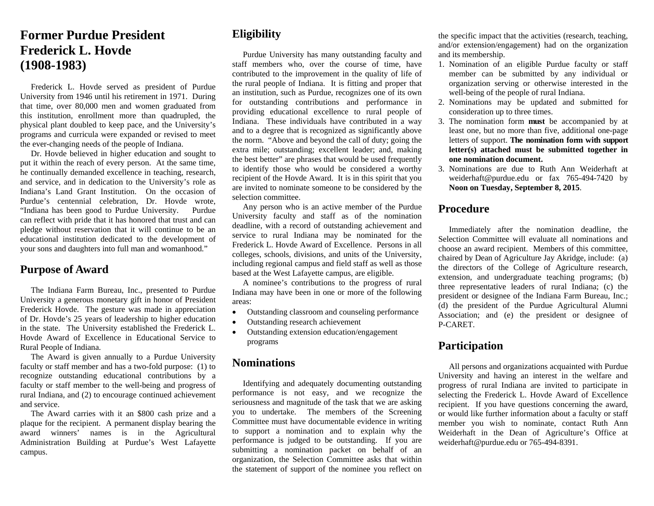# **Former Purdue President Frederick L. Hovde (1908-1983)**

Frederick L. Hovde served as president of Purdue University from 1946 until his retirement in 1971. During that time, over 80,000 men and women graduated from this institution, enrollment more than quadrupled, the physical plant doubled to keep pace, and the University's programs and curricula were expanded or revised to meet the ever-changing needs of the people of Indiana.

 Dr. Hovde believed in higher education and sought to put it within the reach of every person. At the same time, he continually demanded excellence in teaching, research, and service, and in dedication to the University's role as Indiana's Land Grant Institution. On the occasion of Purdue's centennial celebration, Dr. Hovde wrote, "Indiana has been good to Purdue University. Purdue can reflect with pride that it has honored that trust and can pledge without reservation that it will continue to be an educational institution dedicated to the development of your sons and daughters into full man and womanhood."

#### **Purpose of Award**

 The Indiana Farm Bureau, Inc., presented to Purdue University a generous monetary gift in honor of President Frederick Hovde. The gesture was made in appreciation of Dr. Hovde's 25 years of leadership to higher education in the state. The University established the Frederick L. Hovde Award of Excellence in Educational Service to Rural People of Indiana.

 The Award is given annually to a Purdue University faculty or staff member and has a two-fold purpose: (1) to recognize outstanding educational contributions by a faculty or staff member to the well-being and progress of rural Indiana, and (2) to encourage continued achievement and service.

 The Award carries with it an \$800 cash prize and a plaque for the recipient. A permanent display bearing the award winners' names is in the Agricultural Administration Building at Purdue's West Lafayette campus.

## **Eligibility**

 Purdue University has many outstanding faculty and staff members who, over the course of time, have contributed to the improvement in the quality of life of the rural people of Indiana. It is fitting and proper that an institution, such as Purdue, recognizes one of its own for outstanding contributions and performance in providing educational excellence to rural people of Indiana. These individuals have contributed in a way and to a degree that is recognized as significantly above the norm. "Above and beyond the call of duty; going the extra mile; outstanding; excellent leader; and, making the best better" are phrases that would be used frequently to identify those who would be considered a worthy recipient of the Hovde Award. It is in this spirit that you are invited to nominate someone to be considered by the selection committee.

 Any person who is an active member of the Purdue University faculty and staff as of the nomination deadline, with a record of outstanding achievement and service to rural Indiana may be nominated for the Frederick L. Hovde Award of Excellence. Persons in all colleges, schools, divisions, and units of the University, including regional campus and field staff as well as those based at the West Lafayette campus, are eligible.

 A nominee's contributions to the progress of rural Indiana may have been in one or more of the following areas:

- $\bullet$ Outstanding classroom and counseling performance
- $\bullet$ Outstanding research achievement
- $\bullet$  Outstanding extension education/engagement programs

#### **Nominations**

 Identifying and adequately documenting outstanding performance is not easy, and we recognize the seriousness and magnitude of the task that we are asking you to undertake. The members of the Screening Committee must have documentable evidence in writing to support a nomination and to explain why the performance is judged to be outstanding. If you are submitting a nomination packet on behalf of an organization, the Selection Committee asks that within the statement of support of the nominee you reflect on the specific impact that the activities (research, teaching, and/or extension/engagement) had on the organization and its membership.

- 1. Nomination of an eligible Purdue faculty or staff member can be submitted by any individual or organization serving or otherwise interested in the well-being of the people of rural Indiana.
- 2. Nominations may be updated and submitted for consideration up to three times.
- 3. The nomination form **must** be accompanied by at least one, but no more than five, additional one-page letters of support. **The nomination form with support letter(s) attached must be submitted together in one nomination document.**
- 3. Nominations are due to Ruth Ann Weiderhaft at weiderhaft@purdue.edu or fax 765-494-7420 by **Noon on Tuesday, September 8, 2015**.

#### **Procedure**

 Immediately after the nomination deadline, the Selection Committee will evaluate all nominations and choose an award recipient. Members of this committee, chaired by Dean of Agriculture Jay Akridge, include: (a) the directors of the College of Agriculture research, extension, and undergraduate teaching programs; (b) three representative leaders of rural Indiana; (c) the president or designee of the Indiana Farm Bureau, Inc.; (d) the president of the Purdue Agricultural Alumni Association; and (e) the president or designee of P-CARET.

## **Participation**

 All persons and organizations acquainted with Purdue University and having an interest in the welfare and progress of rural Indiana are invited to participate in selecting the Frederick L. Hovde Award of Excellence recipient. If you have questions concerning the award, or would like further information about a faculty or staff member you wish to nominate, contact Ruth Ann Weiderhaft in the Dean of Agriculture's Office at weiderhaft@purdue.edu or 765-494-8391.